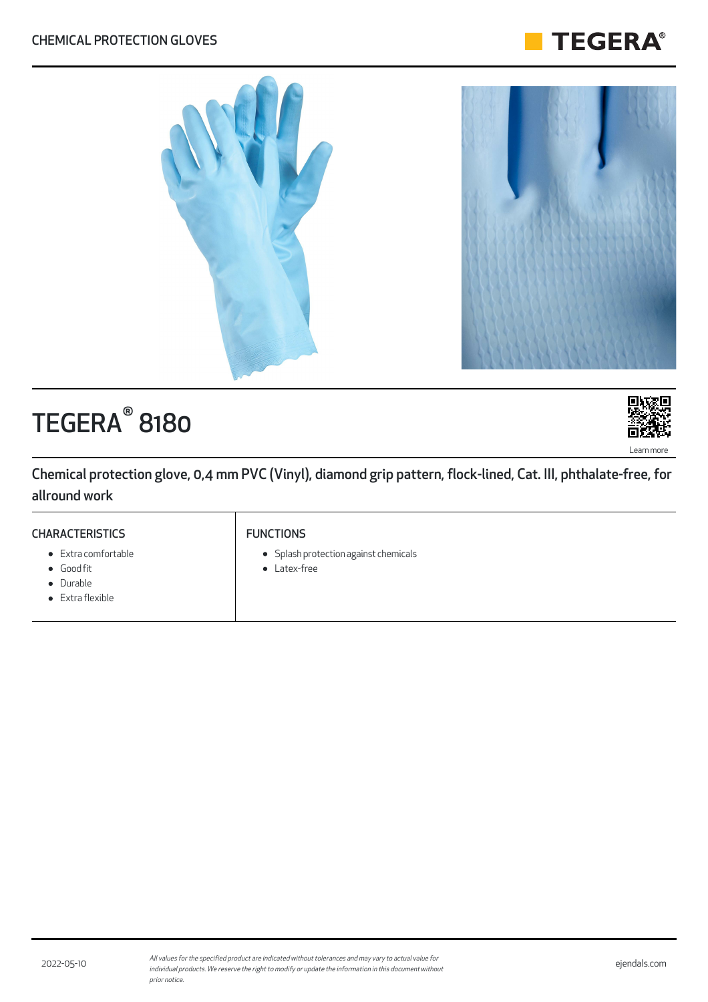

# TEGERA<sup>®</sup> 8180

Chemical protection glove, 0,4 mm PVC (Vinyl), diamond grip pattern, flock-lined, Cat. III, phthalate-free, for allround work

#### **CHARACTERISTICS**

- Extra comfortable
- Good fit
- Durable
- Extra flexible

#### FUNCTIONS

- Splash protection against chemicals
- Latex-free